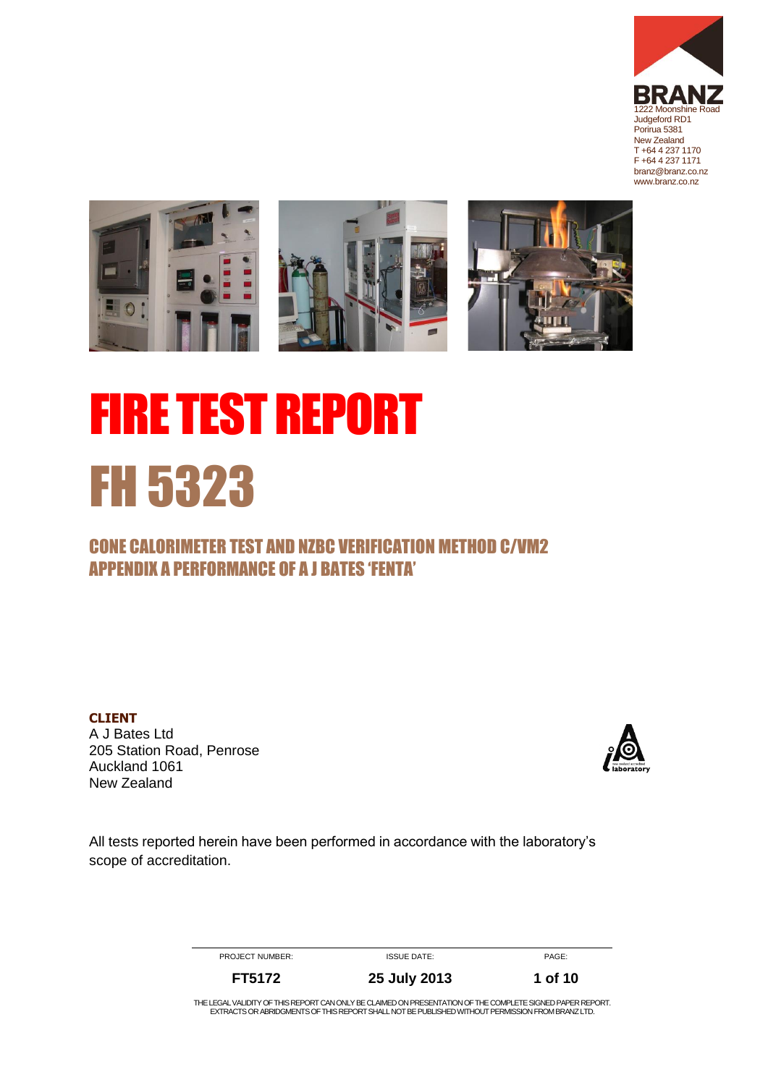



# FIRE TEST REPORT FH 5323

## CONE CALORIMETER TEST AND NZBC VERIFICATION METHOD C/VM2 APPENDIX A PERFORMANCE OF A J BATES 'FENTA'

**CLIENT** A J Bates Ltd 205 Station Road, Penrose Auckland 1061 New Zealand



All tests reported herein have been performed in accordance with the laboratory's scope of accreditation.

PROJECT NUMBER: ISSUE DATE: ISSUE TO PAGE:

**FT5172 25 July 2013 1 of 10**

<span id="page-0-0"></span>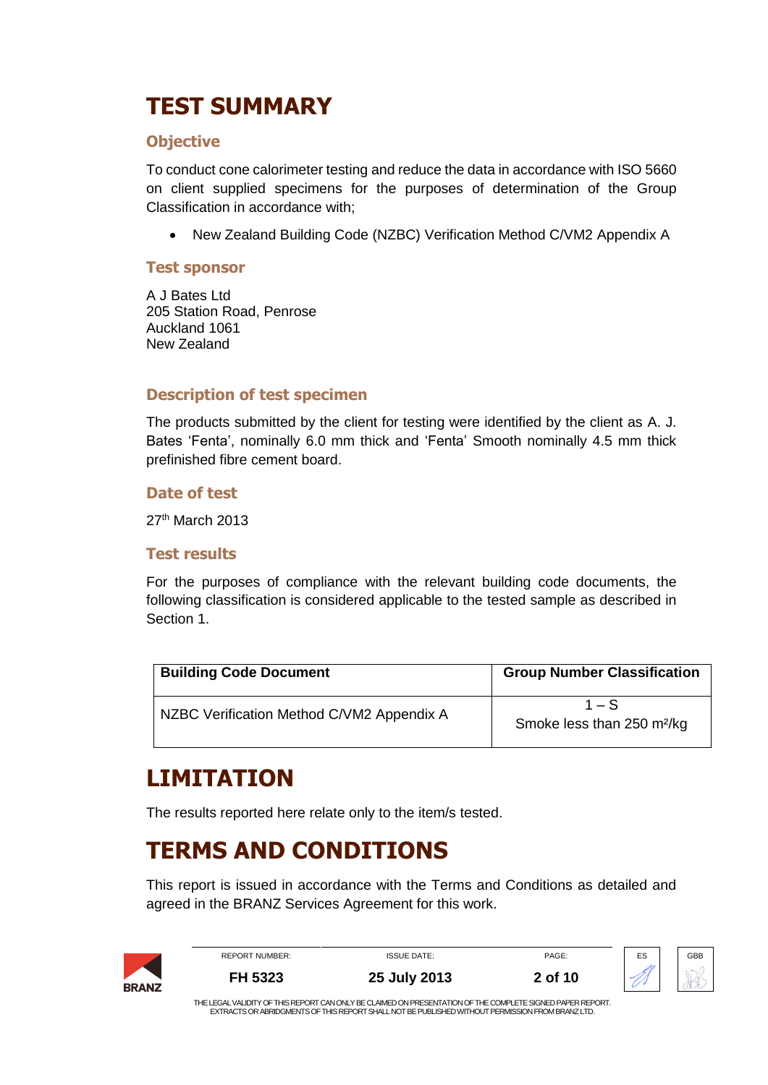# **TEST SUMMARY**

#### **Objective**

To conduct cone calorimeter testing and reduce the data in accordance with ISO 5660 on client supplied specimens for the purposes of determination of the Group Classification in accordance with;

New Zealand Building Code (NZBC) Verification Method C/VM2 Appendix A

#### **Test sponsor**

A J Bates Ltd 205 Station Road, Penrose Auckland 1061 New Zealand

#### **Description of test specimen**

The products submitted by the client for testing were identified by the client as A. J. Bates 'Fenta', nominally 6.0 mm thick and 'Fenta' Smooth nominally 4.5 mm thick prefinished fibre cement board.

#### **Date of test**

27th March 2013

#### **Test results**

For the purposes of compliance with the relevant building code documents, the following classification is considered applicable to the tested sample as described in Section 1.

| <b>Building Code Document</b>             | <b>Group Number Classification</b>                |
|-------------------------------------------|---------------------------------------------------|
| NZBC Verification Method C/VM2 Appendix A | $1 - S$<br>Smoke less than 250 m <sup>2</sup> /kg |

## **LIMITATION**

The results reported here relate only to the item/s tested.

## **TERMS AND CONDITIONS**

This report is issued in accordance with the Terms and Conditions as detailed and agreed in the BRANZ Services Agreement for this work.

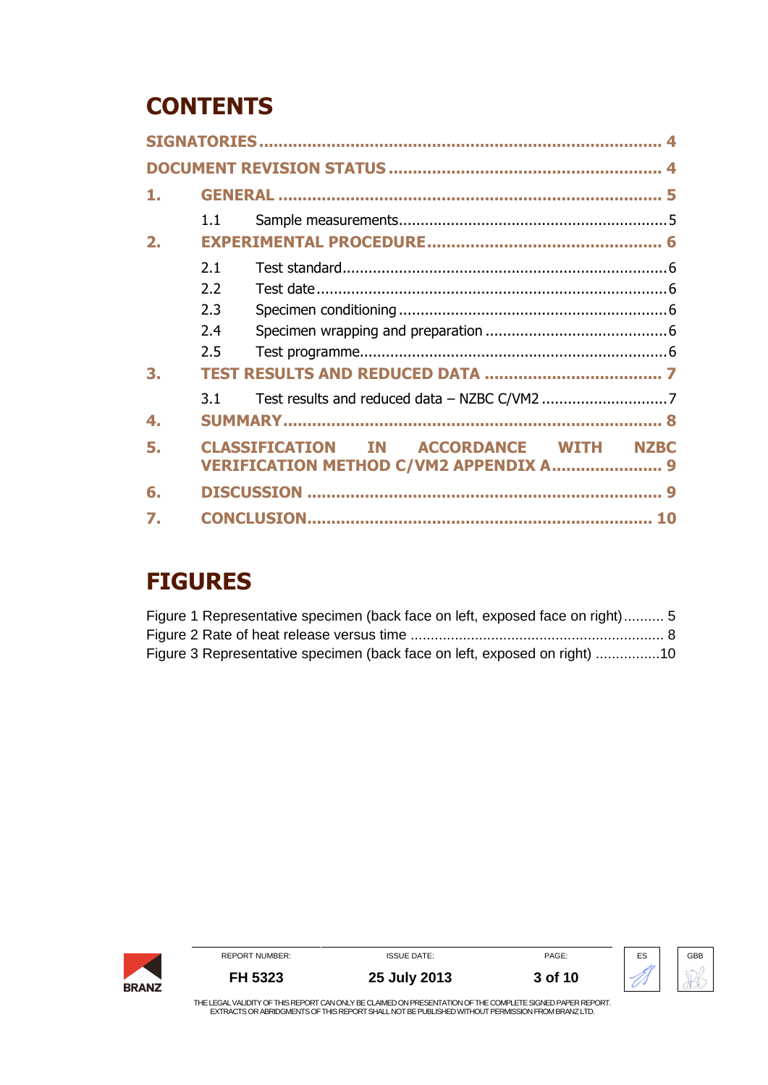# **CONTENTS**

|    | 1.1 |                                                                                                |  |
|----|-----|------------------------------------------------------------------------------------------------|--|
| 2. |     |                                                                                                |  |
|    | 2.1 |                                                                                                |  |
|    | 2.2 |                                                                                                |  |
|    | 2.3 |                                                                                                |  |
|    | 2.4 |                                                                                                |  |
|    | 2.5 |                                                                                                |  |
| З. |     |                                                                                                |  |
|    | 3.1 |                                                                                                |  |
| 4. |     |                                                                                                |  |
| 5. |     | <b>CLASSIFICATION IN ACCORDANCE WITH NZBC</b><br><b>VERIFICATION METHOD C/VM2 APPENDIX A 9</b> |  |
| 6. |     |                                                                                                |  |
| 7. |     |                                                                                                |  |

# **FIGURES**

| Figure 1 Representative specimen (back face on left, exposed face on right) 5 |  |
|-------------------------------------------------------------------------------|--|
|                                                                               |  |
| Figure 3 Representative specimen (back face on left, exposed on right) 10     |  |

|              | <b>REPORT NUMBER:</b> | <b>ISSUE DATE:</b>                                                                                         | PAGE:   | ES | GBB |
|--------------|-----------------------|------------------------------------------------------------------------------------------------------------|---------|----|-----|
| <b>BRANZ</b> | FH 5323               | 25 July 2013                                                                                               | 3 of 10 |    |     |
|              |                       | THE LEGAL VALIDITY OF THIS REPORT CAN ONLY BE CLAIMED ON PRESENTATION OF THE COMPLETE SIGNED PAPER REPORT. |         |    |     |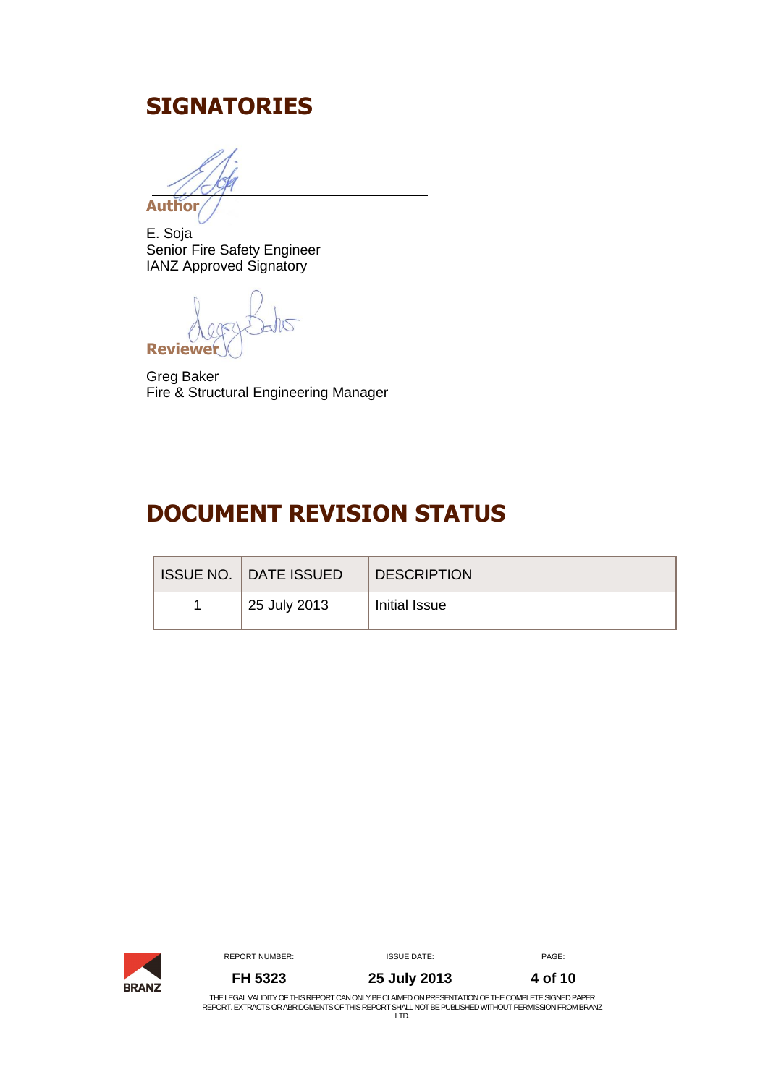## <span id="page-3-0"></span>**SIGNATORIES**

**Author**

E. Soja Senior Fire Safety Engineer IANZ Approved Signatory

**Reviewer**

Greg Baker Fire & Structural Engineering Manager

## <span id="page-3-1"></span>**DOCUMENT REVISION STATUS**

| <b>ISSUE NO.   DATE ISSUED</b> | <b>DESCRIPTION</b> |
|--------------------------------|--------------------|
| 25 July 2013                   | Initial Issue      |

|              | REPORT NUMBER: | <b>ISSUE DATE:</b>                                                                                                                                                                                        | PAGE:   |
|--------------|----------------|-----------------------------------------------------------------------------------------------------------------------------------------------------------------------------------------------------------|---------|
| <b>BRANZ</b> | FH 5323        | 25 July 2013                                                                                                                                                                                              | 4 of 10 |
|              |                | THE LEGAL VALIDITY OF THIS REPORT CAN ONLY BE CLAIMED ON PRESENTATION OF THE COMPLETE SIGNED PAPER<br>REPORT. EXTRACTS OR ABRIDGMENTS OF THIS REPORT SHALL NOT BE PUBLISHED WITHOUT PERMISSION FROM BRANZ |         |
|              |                | LTD                                                                                                                                                                                                       |         |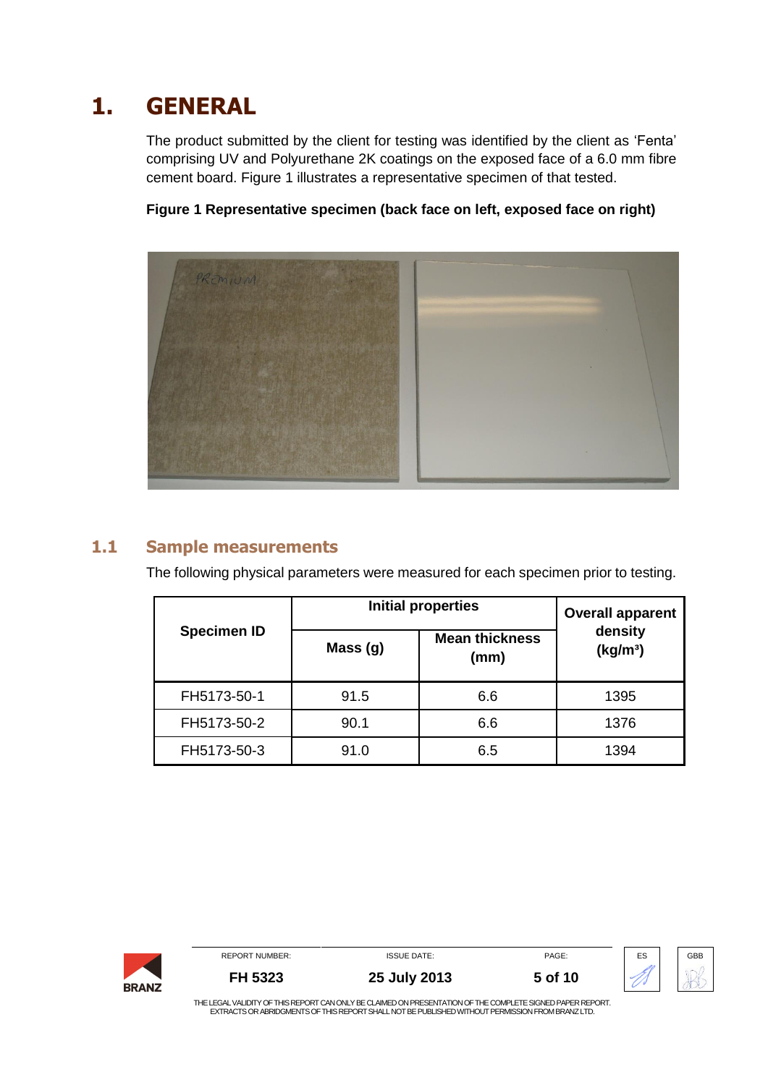# **1. GENERAL**

<span id="page-4-0"></span>The product submitted by the client for testing was identified by the client as 'Fenta' comprising UV and Polyurethane 2K coatings on the exposed face of a 6.0 mm fibre cement board. [Figure 1](#page-4-2) illustrates a representative specimen of that tested.



<span id="page-4-2"></span>**Figure 1 Representative specimen (back face on left, exposed face on right)**

## **1.1 Sample measurements**

<span id="page-4-1"></span>The following physical parameters were measured for each specimen prior to testing.

|                    | <b>Initial properties</b> | <b>Overall apparent</b>       |                                 |
|--------------------|---------------------------|-------------------------------|---------------------------------|
| <b>Specimen ID</b> | Mass(g)                   | <b>Mean thickness</b><br>(mm) | density<br>(kg/m <sup>3</sup> ) |
| FH5173-50-1        | 91.5                      | 6.6                           | 1395                            |
| FH5173-50-2        | 90.1                      | 6.6                           | 1376                            |
| FH5173-50-3        | 91.0                      | 6.5                           | 1394                            |

|              | <b>REPORT NUMBER:</b> | <b>ISSUE DATE:</b>                                                                                        | PAGE:   | ES | GBB |
|--------------|-----------------------|-----------------------------------------------------------------------------------------------------------|---------|----|-----|
| <b>BRANZ</b> | FH 5323               | 25 July 2013                                                                                              | 5 of 10 |    |     |
|              |                       | THE LEGAL VALIDITY OF THIS REPORT CAN ONLY BE CLAIMED ON PRESENTATION OF THE COMPLETE SIGNED PAPER REPORT |         |    |     |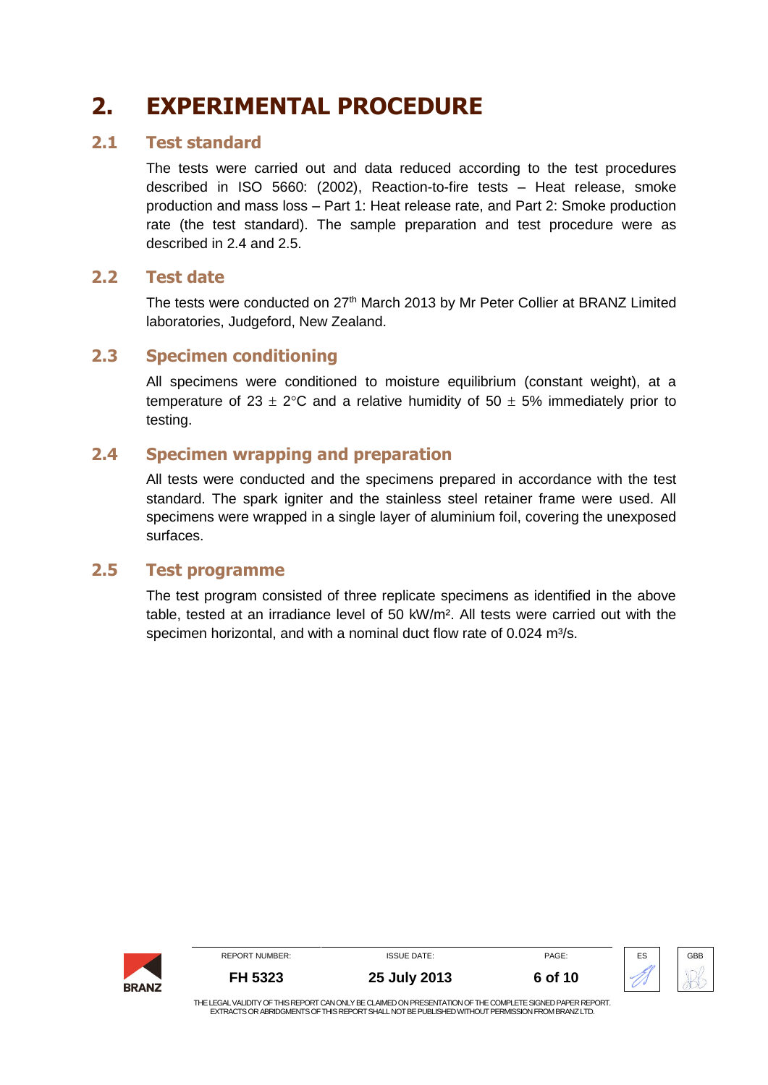# <span id="page-5-0"></span>**2. EXPERIMENTAL PROCEDURE**

#### **2.1 Test standard**

<span id="page-5-1"></span>The tests were carried out and data reduced according to the test procedures described in ISO 5660: (2002), Reaction-to-fire tests – Heat release, smoke production and mass loss – Part 1: Heat release rate, and Part 2: Smoke production rate (the test standard). The sample preparation and test procedure were as described in [2.4](#page-5-4) and 2.5.

## **2.2 Test date**

<span id="page-5-2"></span>The tests were conducted on 27<sup>th</sup> March 2013 by Mr Peter Collier at BRANZ Limited laboratories, Judgeford, New Zealand.

## **2.3 Specimen conditioning**

<span id="page-5-3"></span>All specimens were conditioned to moisture equilibrium (constant weight), at a temperature of 23  $\pm$  2°C and a relative humidity of 50  $\pm$  5% immediately prior to testing.

## **2.4 Specimen wrapping and preparation**

<span id="page-5-4"></span>All tests were conducted and the specimens prepared in accordance with the test standard. The spark igniter and the stainless steel retainer frame were used. All specimens were wrapped in a single layer of aluminium foil, covering the unexposed surfaces.

#### **2.5 Test programme**

<span id="page-5-5"></span>The test program consisted of three replicate specimens as identified in the above table, tested at an irradiance level of 50 kW/m². All tests were carried out with the specimen horizontal, and with a nominal duct flow rate of 0.024 m<sup>3</sup>/s.

|              | <b>REPORT NUMBER:</b> | <b>ISSUE DATE:</b>                                                                                         | PAGE:   | ES | GBB |
|--------------|-----------------------|------------------------------------------------------------------------------------------------------------|---------|----|-----|
| <b>BRANZ</b> | FH 5323               | 25 July 2013                                                                                               | 6 of 10 |    |     |
|              |                       | THE LEO AL VALIDITY OF THIS DEDODT OAN ONLY DE OLAIMED ON DRESENTATION OF THE COMPLETE SIONED DADER REDORT |         |    |     |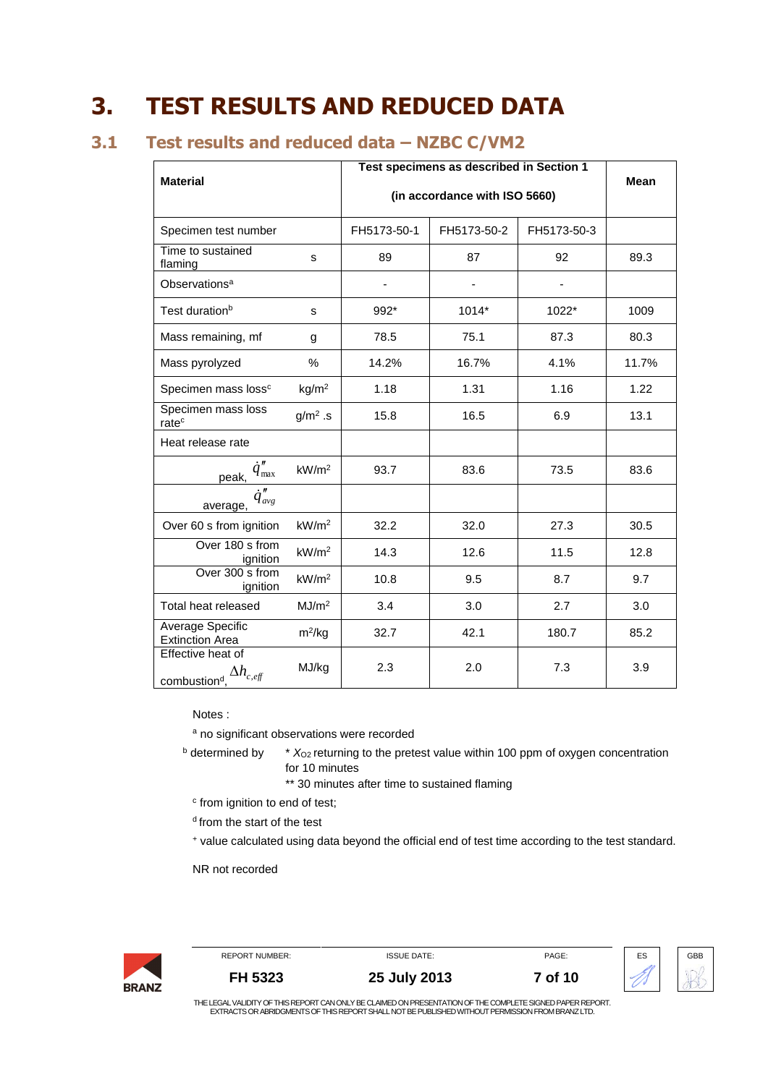## <span id="page-6-0"></span>**3. TEST RESULTS AND REDUCED DATA**

## **3.1 Test results and reduced data – NZBC C/VM2**

<span id="page-6-1"></span>

| <b>Material</b>                                                        |                   | Test specimens as described in Section 1 |             |             | Mean  |
|------------------------------------------------------------------------|-------------------|------------------------------------------|-------------|-------------|-------|
|                                                                        |                   | (in accordance with ISO 5660)            |             |             |       |
| Specimen test number                                                   |                   | FH5173-50-1                              | FH5173-50-2 | FH5173-50-3 |       |
| Time to sustained<br>flaming                                           | s                 | 89                                       | 87          | 92          | 89.3  |
| Observations <sup>a</sup>                                              |                   | -                                        |             |             |       |
| Test duration <sup>b</sup>                                             | s                 | 992*                                     | 1014*       | 1022*       | 1009  |
| Mass remaining, mf                                                     | g                 | 78.5                                     | 75.1        | 87.3        | 80.3  |
| Mass pyrolyzed                                                         | $\%$              | 14.2%                                    | 16.7%       | 4.1%        | 11.7% |
| Specimen mass loss <sup>c</sup>                                        | kg/m <sup>2</sup> | 1.18                                     | 1.31        | 1.16        | 1.22  |
| Specimen mass loss<br>rate <sup>c</sup>                                | $g/m2$ .s         | 15.8                                     | 16.5        | 6.9         | 13.1  |
| Heat release rate                                                      |                   |                                          |             |             |       |
| $q_{\text{max}}$<br>peak,                                              | kW/m <sup>2</sup> | 93.7                                     | 83.6        | 73.5        | 83.6  |
| $\dot{q}''_{avg}$<br>average,                                          |                   |                                          |             |             |       |
| Over 60 s from ignition                                                | kW/m <sup>2</sup> | 32.2                                     | 32.0        | 27.3        | 30.5  |
| Over 180 s from<br>ignition                                            | kW/m <sup>2</sup> | 14.3                                     | 12.6        | 11.5        | 12.8  |
| Over 300 s from<br>ignition                                            | kW/m <sup>2</sup> | 10.8                                     | 9.5         | 8.7         | 9.7   |
| Total heat released                                                    | MJ/m <sup>2</sup> | 3.4                                      | 3.0         | 2.7         | 3.0   |
| Average Specific<br><b>Extinction Area</b>                             | $m^2/kg$          | 32.7                                     | 42.1        | 180.7       | 85.2  |
| Effective heat of<br>combustion <sup>d</sup> $\Delta h_{c,\text{eff}}$ | MJ/kg             | 2.3                                      | 2.0         | 7.3         | 3.9   |

Notes :

a no significant observations were recorded

<sup>b</sup> determined by \*  $X_{O2}$  returning to the pretest value within 100 ppm of oxygen concentration for 10 minutes

\*\* 30 minutes after time to sustained flaming

c from ignition to end of test;

<sup>d</sup> from the start of the test

<sup>+</sup> value calculated using data beyond the official end of test time according to the test standard.

NR not recorded

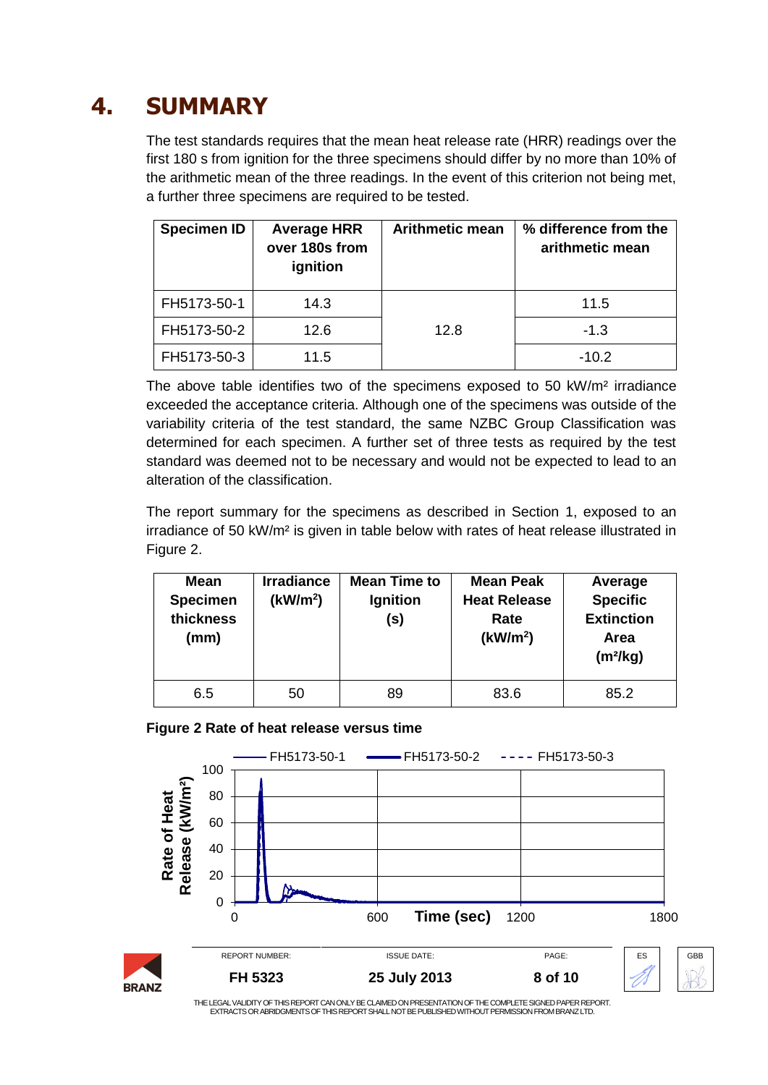# **4. SUMMARY**

<span id="page-7-0"></span>The test standards requires that the mean heat release rate (HRR) readings over the first 180 s from ignition for the three specimens should differ by no more than 10% of the arithmetic mean of the three readings. In the event of this criterion not being met, a further three specimens are required to be tested.

| <b>Specimen ID</b> | <b>Average HRR</b><br>over 180s from<br>ignition | <b>Arithmetic mean</b> | % difference from the<br>arithmetic mean |
|--------------------|--------------------------------------------------|------------------------|------------------------------------------|
| FH5173-50-1        | 14.3                                             |                        | 11.5                                     |
| FH5173-50-2        | 12.6                                             | 12.8                   | $-1.3$                                   |
| FH5173-50-3        | 11.5                                             |                        | $-10.2$                                  |

The above table identifies two of the specimens exposed to 50 kW/m² irradiance exceeded the acceptance criteria. Although one of the specimens was outside of the variability criteria of the test standard, the same NZBC Group Classification was determined for each specimen. A further set of three tests as required by the test standard was deemed not to be necessary and would not be expected to lead to an alteration of the classification.

The report summary for the specimens as described in Section 1, exposed to an irradiance of 50 kW/m² is given in table below with rates of heat release illustrated in Figure 2.

| <b>Mean</b><br><b>Specimen</b><br>thickness<br>(mm) | <b>Irradiance</b><br>(kW/m <sup>2</sup> ) | <b>Mean Time to</b><br>Ignition<br>(s) | <b>Mean Peak</b><br><b>Heat Release</b><br>Rate<br>(kW/m <sup>2</sup> ) | Average<br><b>Specific</b><br><b>Extinction</b><br>Area<br>$(m^2/kg)$ |
|-----------------------------------------------------|-------------------------------------------|----------------------------------------|-------------------------------------------------------------------------|-----------------------------------------------------------------------|
| 6.5                                                 | 50                                        | 89                                     | 83.6                                                                    | 85.2                                                                  |

<span id="page-7-1"></span>

| Figure 2 Rate of heat release versus time |  |  |  |
|-------------------------------------------|--|--|--|
|                                           |  |  |  |

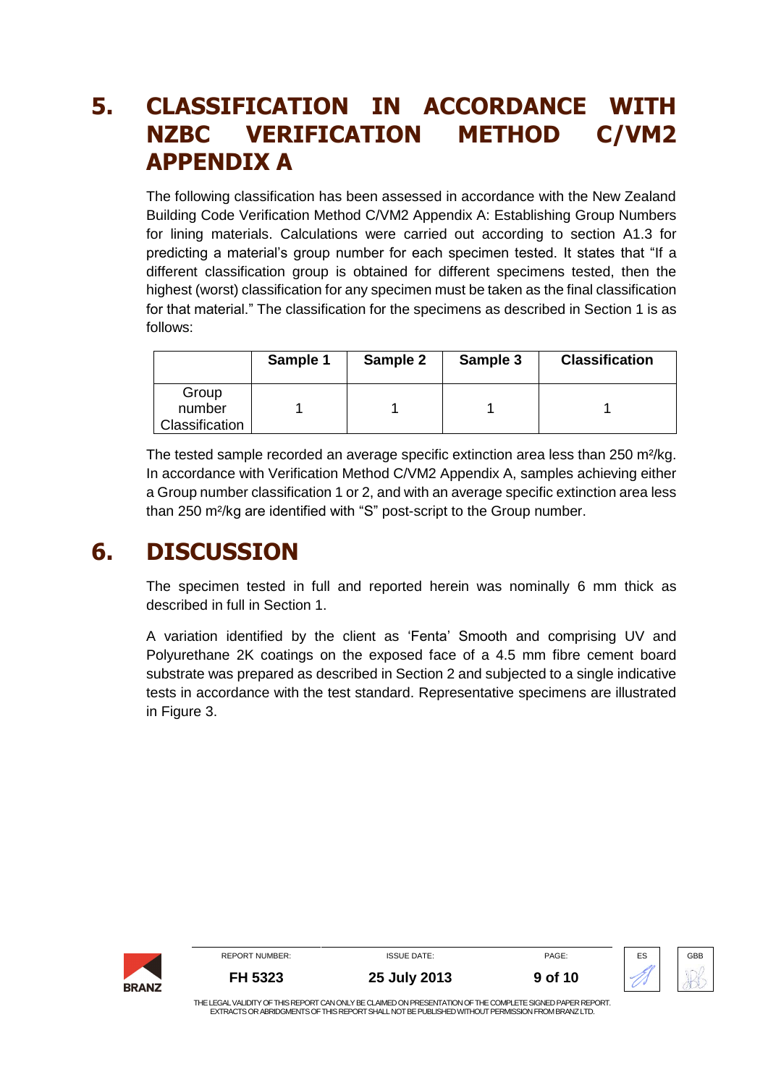## <span id="page-8-0"></span>**5. CLASSIFICATION IN ACCORDANCE WITH NZBC VERIFICATION METHOD C/VM2 APPENDIX A**

The following classification has been assessed in accordance with the New Zealand Building Code Verification Method C/VM2 Appendix A: Establishing Group Numbers for lining materials. Calculations were carried out according to section A1.3 for predicting a material's group number for each specimen tested. It states that "If a different classification group is obtained for different specimens tested, then the highest (worst) classification for any specimen must be taken as the final classification for that material." The classification for the specimens as described in Section 1 is as follows:

|                | Sample 1 | Sample 2 | Sample 3 | <b>Classification</b> |
|----------------|----------|----------|----------|-----------------------|
| Group          |          |          |          |                       |
| number         |          |          |          |                       |
| Classification |          |          |          |                       |

The tested sample recorded an average specific extinction area less than 250 m²/kg. In accordance with Verification Method C/VM2 Appendix A, samples achieving either a Group number classification 1 or 2, and with an average specific extinction area less than 250 m²/kg are identified with "S" post-script to the Group number.

## **6. DISCUSSION**

<span id="page-8-1"></span>The specimen tested in full and reported herein was nominally 6 mm thick as described in full in Section 1.

A variation identified by the client as 'Fenta' Smooth and comprising UV and Polyurethane 2K coatings on the exposed face of a 4.5 mm fibre cement board substrate was prepared as described in Section 2 and subjected to a single indicative tests in accordance with the test standard. Representative specimens are illustrated in [Figure 3.](#page-9-1)

|              | <b>REPORT NUMBER:</b>                                                                                                                                                                                          | <b>ISSUE DATE:</b> | PAGE:   | ES | GBB |  |
|--------------|----------------------------------------------------------------------------------------------------------------------------------------------------------------------------------------------------------------|--------------------|---------|----|-----|--|
| <b>BRANZ</b> | FH 5323                                                                                                                                                                                                        | 25 July 2013       | 9 of 10 |    |     |  |
|              | THE LEGAL VALIDITY OF THIS REPORT CAN ONLY BE CLAIMED ON PRESENTATION OF THE COMPLETE SIGNED PAPER REPORT.<br>EXTRACTS OR ABRIDGMENTS OF THIS REPORT SHALL NOT BE PUBLISHED WITHOUT PERMISSION FROM BRANZ LTD. |                    |         |    |     |  |